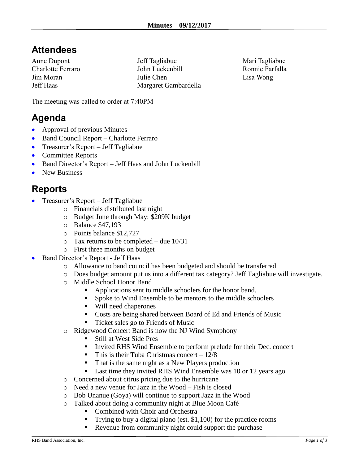## **Attendees**

Anne Dupont Charlotte Ferraro Jim Moran Jeff Haas

Jeff Tagliabue John Luckenbill Julie Chen Margaret Gambardella Mari Tagliabue Ronnie Farfalla Lisa Wong

The meeting was called to order at 7:40PM

## **Agenda**

- Approval of previous Minutes
- Band Council Report Charlotte Ferraro
- Treasurer's Report Jeff Tagliabue
- Committee Reports
- Band Director's Report Jeff Haas and John Luckenbill
- New Business

## **Reports**

- Treasurer's Report Jeff Tagliabue
	- o Financials distributed last night
	- o Budget June through May: \$209K budget
	- o Balance \$47,193
	- o Points balance \$12,727
	- $\circ$  Tax returns to be completed due 10/31
	- o First three months on budget
- Band Director's Report Jeff Haas
	- o Allowance to band council has been budgeted and should be transferred
	- o Does budget amount put us into a different tax category? Jeff Tagliabue will investigate.
	- o Middle School Honor Band
		- Applications sent to middle schoolers for the honor band.
		- Spoke to Wind Ensemble to be mentors to the middle schoolers
		- Will need chaperones
		- Costs are being shared between Board of Ed and Friends of Music
		- Ticket sales go to Friends of Music
	- o Ridgewood Concert Band is now the NJ Wind Symphony
		- Still at West Side Pres
		- Invited RHS Wind Ensemble to perform prelude for their Dec. concert
		- **•** This is their Tuba Christmas concert  $-12/8$
		- That is the same night as a New Players production
		- Last time they invited RHS Wind Ensemble was 10 or 12 years ago
	- o Concerned about citrus pricing due to the hurricane
	- o Need a new venue for Jazz in the Wood Fish is closed
	- o Bob Unanue (Goya) will continue to support Jazz in the Wood
	- o Talked about doing a community night at Blue Moon Café
		- Combined with Choir and Orchestra
		- Trying to buy a digital piano (est.  $$1,100$ ) for the practice rooms
		- Revenue from community night could support the purchase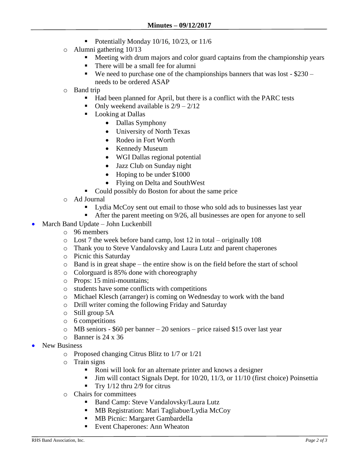- $\blacksquare$  Potentially Monday 10/16, 10/23, or 11/6
- o Alumni gathering 10/13
	- **EXECUTE:** Meeting with drum majors and color guard captains from the championship years
	- There will be a small fee for alumni
	- $\bullet$  We need to purchase one of the championships banners that was lost \$230 needs to be ordered ASAP
- o Band trip
	- Had been planned for April, but there is a conflict with the PARC tests
	- Only weekend available is  $2/9 2/12$
	- Looking at Dallas
		- Dallas Symphony
		- University of North Texas
		- Rodeo in Fort Worth
		- Kennedy Museum
		- WGI Dallas regional potential
		- Jazz Club on Sunday night
		- Hoping to be under \$1000
		- Flying on Delta and SouthWest
	- Could possibly do Boston for about the same price
- o Ad Journal
	- Lydia McCoy sent out email to those who sold ads to businesses last year
	- After the parent meeting on 9/26, all businesses are open for anyone to sell
- March Band Update John Luckenbill
	- o 96 members
	- o Lost 7 the week before band camp, lost 12 in total originally 108
	- o Thank you to Steve Vandalovsky and Laura Lutz and parent chaperones
	- o Picnic this Saturday
	- o Band is in great shape the entire show is on the field before the start of school
	- o Colorguard is 85% done with choreography
	- o Props: 15 mini-mountains;
	- o students have some conflicts with competitions
	- o Michael Klesch (arranger) is coming on Wednesday to work with the band
	- o Drill writer coming the following Friday and Saturday
	- o Still group 5A
	- o 6 competitions
	- o MB seniors \$60 per banner 20 seniors price raised \$15 over last year
	- $\circ$  Banner is 24 x 36
- New Business
	- o Proposed changing Citrus Blitz to 1/7 or 1/21
	- o Train signs
		- Roni will look for an alternate printer and knows a designer
		- Jim will contact Signals Dept. for 10/20, 11/3, or 11/10 (first choice) Poinsettia
		- **•** Try  $1/12$  thru  $2/9$  for citrus
	- o Chairs for committees
		- Band Camp: Steve Vandalovsky/Laura Lutz
		- MB Registration: Mari Tagliabue/Lydia McCoy
		- **■** MB Picnic: Margaret Gambardella
		- Event Chaperones: Ann Wheaton